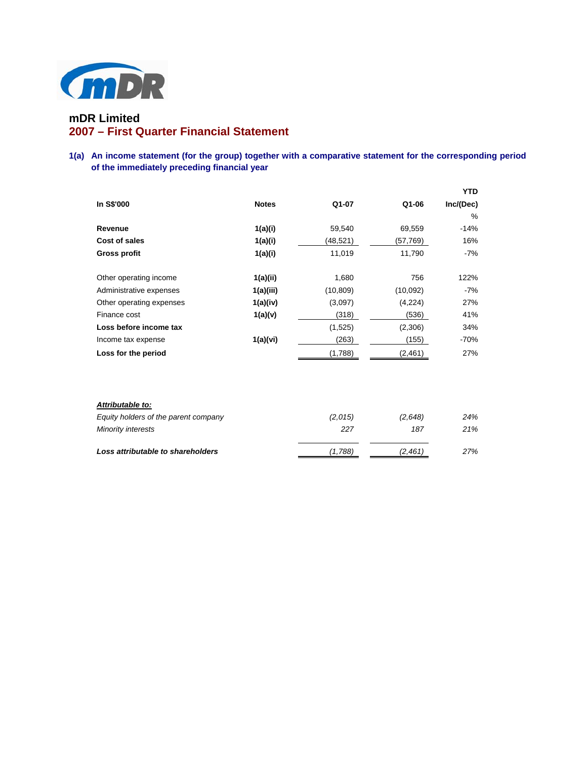

# **mDR Limited 2007 – First Quarter Financial Statement**

## **1(a) An income statement (for the group) together with a comparative statement for the corresponding period of the immediately preceding financial year**

|                          |              |           |          | <b>YTD</b> |
|--------------------------|--------------|-----------|----------|------------|
| In S\$'000               | <b>Notes</b> | Q1-07     | Q1-06    | Inc/(Dec)  |
|                          |              |           |          | $\%$       |
| Revenue                  | 1(a)(i)      | 59,540    | 69,559   | $-14%$     |
| Cost of sales            | 1(a)(i)      | (48, 521) | (57,769) | 16%        |
| <b>Gross profit</b>      | 1(a)(i)      | 11,019    | 11,790   | -7%        |
|                          |              |           |          |            |
| Other operating income   | 1(a)(ii)     | 1,680     | 756      | 122%       |
| Administrative expenses  | 1(a)(iii)    | (10, 809) | (10,092) | -7%        |
| Other operating expenses | 1(a)(iv)     | (3,097)   | (4,224)  | 27%        |
| Finance cost             | 1(a)(v)      | (318)     | (536)    | 41%        |
| Loss before income tax   |              | (1,525)   | (2,306)  | 34%        |
| Income tax expense       | 1(a)(vi)     | (263)     | (155)    | $-70%$     |
| Loss for the period      |              | (1,788)   | (2, 461) | 27%        |

| Attributable to:                     |         |         |     |
|--------------------------------------|---------|---------|-----|
| Equity holders of the parent company | (2.015) | (2.648) | 24% |
| <b>Minority interests</b>            | 227     | 187     | 21% |
| Loss attributable to shareholders    | (1,788) | (2,461  | 27% |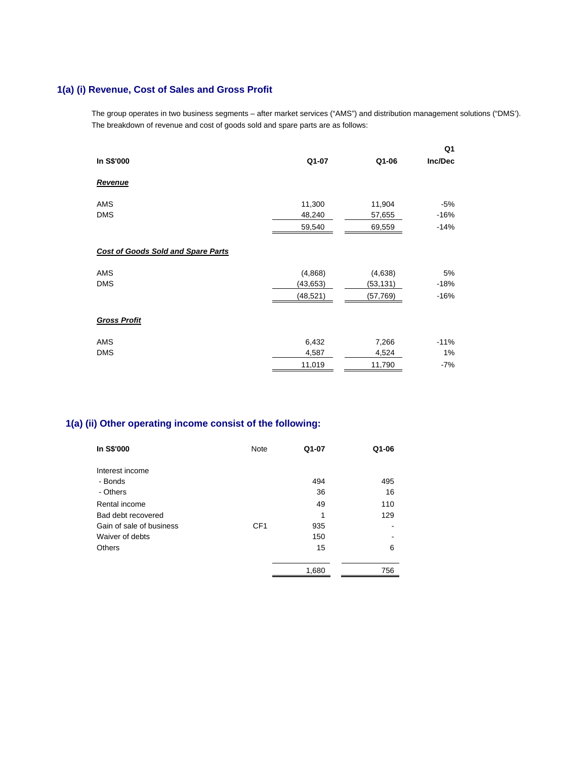# **1(a) (i) Revenue, Cost of Sales and Gross Profit**

The group operates in two business segments – after market services ("AMS") and distribution management solutions ("DMS'). The breakdown of revenue and cost of goods sold and spare parts are as follows:

|                                           |          |          | Q1      |
|-------------------------------------------|----------|----------|---------|
| In S\$'000                                | Q1-07    | Q1-06    | Inc/Dec |
| Revenue                                   |          |          |         |
| AMS                                       | 11,300   | 11,904   | -5%     |
| <b>DMS</b>                                | 48,240   | 57,655   | $-16%$  |
|                                           | 59,540   | 69,559   | $-14%$  |
| <b>Cost of Goods Sold and Spare Parts</b> |          |          |         |
| AMS                                       | (4,868)  | (4,638)  | 5%      |
| <b>DMS</b>                                | (43,653) | (53,131) | $-18%$  |
|                                           | (48,521) | (57,769) | $-16%$  |
| <b>Gross Profit</b>                       |          |          |         |
| AMS                                       | 6,432    | 7,266    | $-11%$  |
| <b>DMS</b>                                | 4,587    | 4,524    | 1%      |
|                                           | 11,019   | 11,790   | $-7%$   |

# **1(a) (ii) Other operating income consist of the following:**

| In S\$'000               | Note            | Q1-07 | Q1-06 |
|--------------------------|-----------------|-------|-------|
| Interest income          |                 |       |       |
| - Bonds                  |                 | 494   | 495   |
| - Others                 |                 | 36    | 16    |
| Rental income            |                 | 49    | 110   |
| Bad debt recovered       |                 | 1     | 129   |
| Gain of sale of business | CF <sub>1</sub> | 935   |       |
| Waiver of debts          |                 | 150   |       |
| Others                   |                 | 15    | 6     |
|                          |                 | 1,680 | 756   |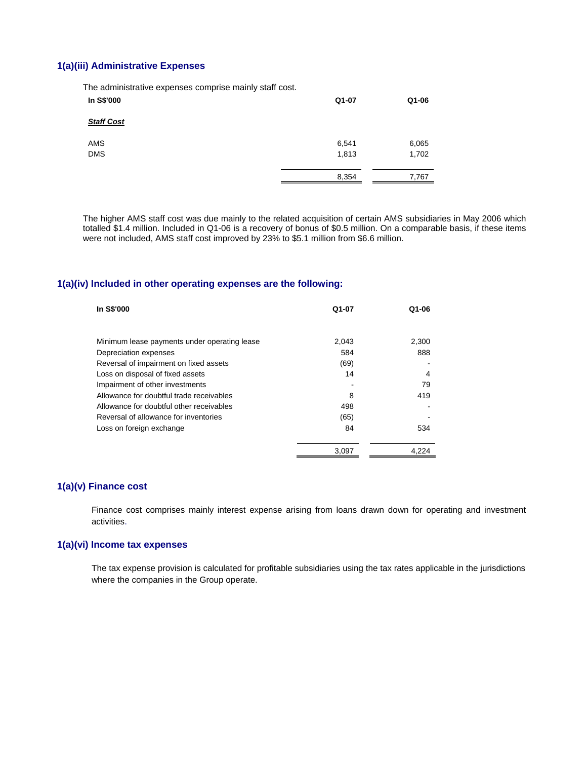### **1(a)(iii) Administrative Expenses**

The administrative expenses comprise mainly staff cost.

| Q1-07 | Q1-06 |
|-------|-------|
|       |       |
| 6,541 | 6,065 |
| 1,813 | 1,702 |
| 8,354 | 7,767 |
|       |       |

 The higher AMS staff cost was due mainly to the related acquisition of certain AMS subsidiaries in May 2006 which totalled \$1.4 million. Included in Q1-06 is a recovery of bonus of \$0.5 million. On a comparable basis, if these items were not included, AMS staff cost improved by 23% to \$5.1 million from \$6.6 million.

#### **1(a)(iv) Included in other operating expenses are the following:**

| In S\$'000                                   | Q1-07 | Q1-06 |
|----------------------------------------------|-------|-------|
|                                              |       |       |
| Minimum lease payments under operating lease | 2.043 | 2,300 |
| Depreciation expenses                        | 584   | 888   |
| Reversal of impairment on fixed assets       | (69)  |       |
| Loss on disposal of fixed assets             | 14    | 4     |
| Impairment of other investments              |       | 79    |
| Allowance for doubtful trade receivables     | 8     | 419   |
| Allowance for doubtful other receivables     | 498   |       |
| Reversal of allowance for inventories        | (65)  |       |
| Loss on foreign exchange                     | 84    | 534   |
|                                              | 3.097 | 4.224 |

#### **1(a)(v) Finance cost**

Finance cost comprises mainly interest expense arising from loans drawn down for operating and investment activities.

#### **1(a)(vi) Income tax expenses**

The tax expense provision is calculated for profitable subsidiaries using the tax rates applicable in the jurisdictions where the companies in the Group operate.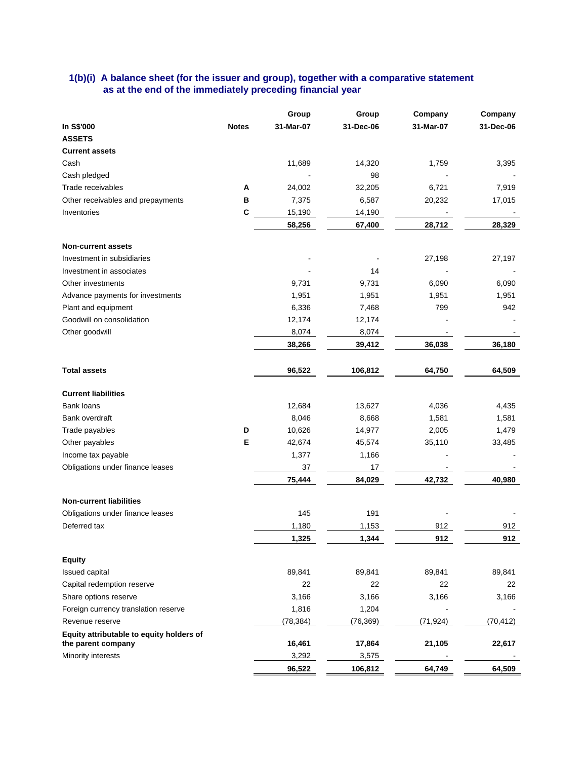### **1(b)(i) A balance sheet (for the issuer and group), together with a comparative statement as at the end of the immediately preceding financial year**

|                                                                |              | Group     | Group     | Company   | Company   |
|----------------------------------------------------------------|--------------|-----------|-----------|-----------|-----------|
| In S\$'000                                                     | <b>Notes</b> | 31-Mar-07 | 31-Dec-06 | 31-Mar-07 | 31-Dec-06 |
| <b>ASSETS</b>                                                  |              |           |           |           |           |
| <b>Current assets</b>                                          |              |           |           |           |           |
| Cash                                                           |              | 11,689    | 14,320    | 1,759     | 3,395     |
| Cash pledged                                                   |              |           | 98        |           |           |
| Trade receivables                                              | Α            | 24,002    | 32,205    | 6,721     | 7,919     |
| Other receivables and prepayments                              | B            | 7,375     | 6,587     | 20,232    | 17,015    |
| Inventories                                                    | C            | 15,190    | 14,190    |           |           |
|                                                                |              | 58,256    | 67,400    | 28,712    | 28,329    |
| <b>Non-current assets</b>                                      |              |           |           |           |           |
| Investment in subsidiaries                                     |              |           |           | 27,198    | 27,197    |
| Investment in associates                                       |              |           | 14        |           |           |
| Other investments                                              |              | 9,731     | 9,731     | 6,090     | 6,090     |
| Advance payments for investments                               |              | 1,951     | 1,951     | 1,951     | 1,951     |
| Plant and equipment                                            |              | 6,336     | 7,468     | 799       | 942       |
| Goodwill on consolidation                                      |              | 12,174    | 12,174    |           |           |
| Other goodwill                                                 |              | 8,074     | 8,074     |           |           |
|                                                                |              | 38,266    | 39,412    | 36,038    | 36,180    |
| <b>Total assets</b>                                            |              | 96,522    | 106,812   | 64,750    | 64,509    |
| <b>Current liabilities</b>                                     |              |           |           |           |           |
| Bank loans                                                     |              | 12,684    | 13,627    | 4,036     | 4,435     |
| Bank overdraft                                                 |              | 8,046     | 8,668     | 1,581     | 1,581     |
| Trade payables                                                 | D            | 10,626    | 14,977    | 2,005     | 1,479     |
| Other payables                                                 | Е            | 42,674    | 45,574    | 35,110    | 33,485    |
| Income tax payable                                             |              | 1,377     | 1,166     |           |           |
| Obligations under finance leases                               |              | 37        | 17        |           |           |
|                                                                |              | 75,444    | 84,029    | 42,732    | 40,980    |
| <b>Non-current liabilities</b>                                 |              |           |           |           |           |
| Obligations under finance leases                               |              | 145       | 191       |           |           |
| Deferred tax                                                   |              | 1,180     | 1,153     | 912       | 912       |
|                                                                |              | 1,325     | 1,344     | 912       | 912       |
|                                                                |              |           |           |           |           |
| <b>Equity</b>                                                  |              |           |           |           |           |
| Issued capital                                                 |              | 89,841    | 89,841    | 89,841    | 89,841    |
| Capital redemption reserve                                     |              | 22        | 22        | 22        | 22        |
| Share options reserve                                          |              | 3,166     | 3,166     | 3,166     | 3,166     |
| Foreign currency translation reserve                           |              | 1,816     | 1,204     |           |           |
| Revenue reserve                                                |              | (78, 384) | (76, 369) | (71, 924) | (70, 412) |
| Equity attributable to equity holders of<br>the parent company |              | 16,461    | 17,864    | 21,105    | 22,617    |
| Minority interests                                             |              | 3,292     | 3,575     |           |           |
|                                                                |              | 96,522    | 106,812   | 64,749    | 64,509    |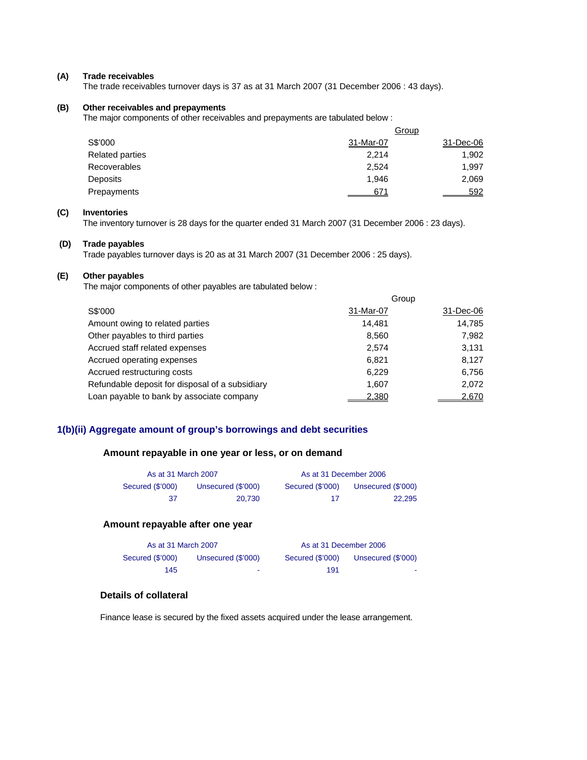#### **(A) Trade receivables**

The trade receivables turnover days is 37 as at 31 March 2007 (31 December 2006 : 43 days).

#### **(B) Other receivables and prepayments**

The major components of other receivables and prepayments are tabulated below :

|                        |           | Group     |
|------------------------|-----------|-----------|
| S\$'000                | 31-Mar-07 | 31-Dec-06 |
| <b>Related parties</b> | 2.214     | 1,902     |
| <b>Recoverables</b>    | 2,524     | 1,997     |
| Deposits               | 1.946     | 2,069     |
| Prepayments            | 671       | 592       |

#### **(C) Inventories**

The inventory turnover is 28 days for the quarter ended 31 March 2007 (31 December 2006 : 23 days).

#### **(D) Trade payables**

Trade payables turnover days is 20 as at 31 March 2007 (31 December 2006 : 25 days).

#### **(E) Other payables**

The major components of other payables are tabulated below :

|                                                 | Group     |           |
|-------------------------------------------------|-----------|-----------|
| S\$'000                                         | 31-Mar-07 | 31-Dec-06 |
| Amount owing to related parties                 | 14.481    | 14,785    |
| Other payables to third parties                 | 8,560     | 7,982     |
| Accrued staff related expenses                  | 2,574     | 3,131     |
| Accrued operating expenses                      | 6,821     | 8,127     |
| Accrued restructuring costs                     | 6.229     | 6,756     |
| Refundable deposit for disposal of a subsidiary | 1,607     | 2,072     |
| Loan payable to bank by associate company       | 2.380     | 2.670     |

## **1(b)(ii) Aggregate amount of group's borrowings and debt securities**

#### **Amount repayable in one year or less, or on demand**

|                  | As at 31 March 2007 |                  | As at 31 December 2006 |
|------------------|---------------------|------------------|------------------------|
| Secured (\$'000) | Unsecured (\$'000)  | Secured (\$'000) | Unsecured (\$'000)     |
| -37              | 20.730              | 17               | 22.295                 |

#### **Amount repayable after one year**

| As at 31 March 2007 |                    | As at 31 December 2006 |                    |
|---------------------|--------------------|------------------------|--------------------|
| Secured (\$'000)    | Unsecured (\$'000) | Secured (\$'000)       | Unsecured (\$'000) |
| 145                 | ٠                  | 191                    |                    |

#### **Details of collateral**

Finance lease is secured by the fixed assets acquired under the lease arrangement.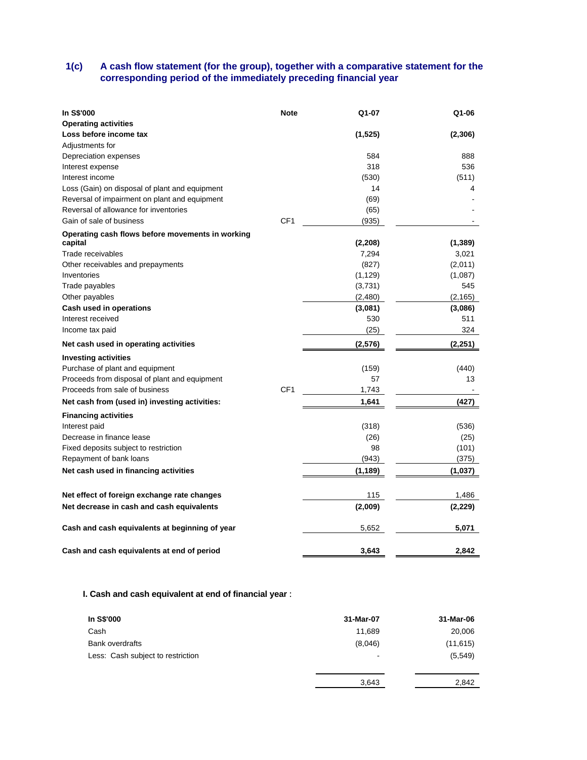### **1(c) A cash flow statement (for the group), together with a comparative statement for the corresponding period of the immediately preceding financial year**

| <b>In S\$'000</b>                                | <b>Note</b>     | Q1-07             | Q1-06    |
|--------------------------------------------------|-----------------|-------------------|----------|
| <b>Operating activities</b>                      |                 |                   |          |
| Loss before income tax                           |                 | (1, 525)          | (2, 306) |
| Adjustments for                                  |                 |                   |          |
| Depreciation expenses                            |                 | 584               | 888      |
| Interest expense                                 |                 | 318               | 536      |
| Interest income                                  |                 | (530)             | (511)    |
| Loss (Gain) on disposal of plant and equipment   |                 | 14                | 4        |
| Reversal of impairment on plant and equipment    |                 | (69)              |          |
| Reversal of allowance for inventories            |                 | (65)              |          |
| Gain of sale of business                         | CF <sub>1</sub> | (935)             |          |
| Operating cash flows before movements in working |                 |                   |          |
| capital<br>Trade receivables                     |                 | (2, 208)<br>7,294 | (1, 389) |
|                                                  |                 |                   | 3,021    |
| Other receivables and prepayments                |                 | (827)             | (2,011)  |
| Inventories                                      |                 | (1, 129)          | (1,087)  |
| Trade payables                                   |                 | (3,731)           | 545      |
| Other payables                                   |                 | (2,480)           | (2, 165) |
| Cash used in operations                          |                 | (3,081)           | (3,086)  |
| Interest received                                |                 | 530               | 511      |
| Income tax paid                                  |                 | (25)              | 324      |
| Net cash used in operating activities            |                 | (2,576)           | (2,251)  |
| <b>Investing activities</b>                      |                 |                   |          |
| Purchase of plant and equipment                  |                 | (159)             | (440)    |
| Proceeds from disposal of plant and equipment    |                 | 57                | 13       |
| Proceeds from sale of business                   | CF <sub>1</sub> | 1,743             |          |
| Net cash from (used in) investing activities:    |                 | 1,641             | (427)    |
| <b>Financing activities</b>                      |                 |                   |          |
| Interest paid                                    |                 | (318)             | (536)    |
| Decrease in finance lease                        |                 | (26)              | (25)     |
| Fixed deposits subject to restriction            |                 | 98                | (101)    |
| Repayment of bank loans                          |                 | (943)             | (375)    |
| Net cash used in financing activities            |                 | (1, 189)          | (1,037)  |
| Net effect of foreign exchange rate changes      |                 | 115               | 1,486    |
| Net decrease in cash and cash equivalents        |                 | (2,009)           | (2,229)  |
|                                                  |                 |                   |          |
| Cash and cash equivalents at beginning of year   |                 | 5,652             | 5,071    |
| Cash and cash equivalents at end of period       |                 | 3,643             | 2,842    |

## **I. Cash and cash equivalent at end of financial year** :

| In S\$'000                        | 31-Mar-07 | 31-Mar-06 |
|-----------------------------------|-----------|-----------|
| Cash                              | 11,689    | 20,006    |
| <b>Bank overdrafts</b>            | (8,046)   | (11, 615) |
| Less: Cash subject to restriction | ٠         | (5, 549)  |
|                                   |           |           |
|                                   | 3,643     | 2,842     |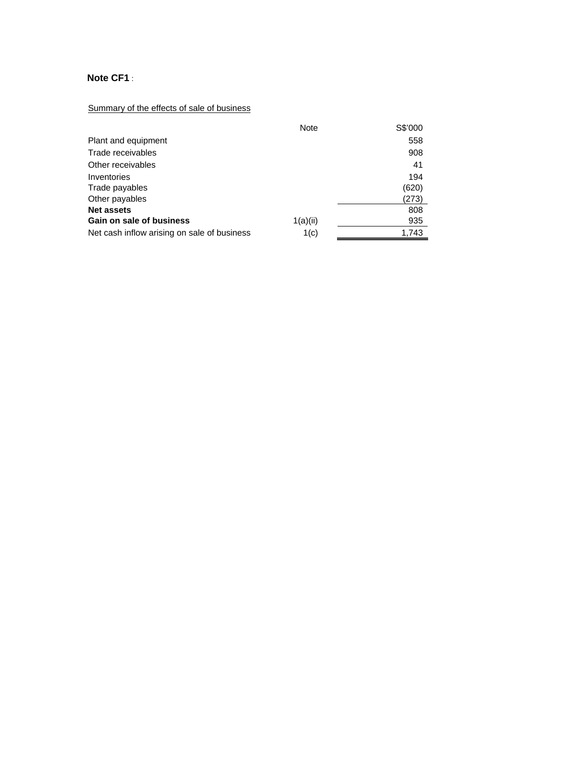# **Note CF1** :

# Summary of the effects of sale of business

|                                             | <b>Note</b> | S\$'000 |
|---------------------------------------------|-------------|---------|
| Plant and equipment                         |             | 558     |
| Trade receivables                           |             | 908     |
| Other receivables                           |             | 41      |
| Inventories                                 |             | 194     |
| Trade payables                              |             | (620)   |
| Other payables                              |             | (273)   |
| <b>Net assets</b>                           |             | 808     |
| Gain on sale of business                    | 1(a)(ii)    | 935     |
| Net cash inflow arising on sale of business | 1(c)        | 1.743   |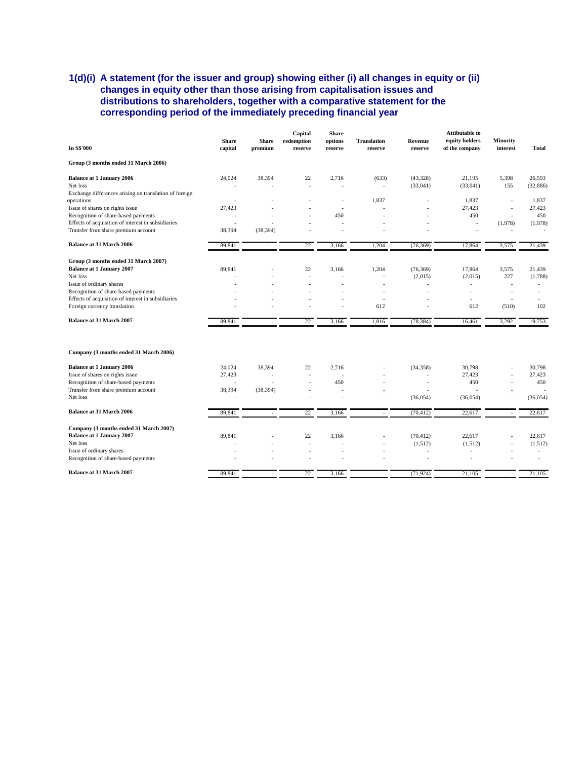## **1(d)(i) A statement (for the issuer and group) showing either (i) all changes in equity or (ii) changes in equity other than those arising from capitalisation issues and distributions to shareholders, together with a comparative statement for the corresponding period of the immediately preceding financial year**

| In S\$'000                                             | <b>Share</b><br>capital | <b>Share</b><br>premium | Capital<br>redemption<br>reserve | <b>Share</b><br>options<br>reserve | <b>Translation</b><br>reserve | Revenue<br>reserve | <b>Attibutable to</b><br>equity holders<br>of the company | <b>Minority</b><br>interest | <b>Total</b> |
|--------------------------------------------------------|-------------------------|-------------------------|----------------------------------|------------------------------------|-------------------------------|--------------------|-----------------------------------------------------------|-----------------------------|--------------|
| Group (3 months ended 31 March 2006)                   |                         |                         |                                  |                                    |                               |                    |                                                           |                             |              |
| <b>Balance at 1 January 2006</b>                       | 24,024                  | 38,394                  | 22                               | 2,716                              | (633)                         | (43, 328)          | 21,195                                                    | 5,398                       | 26,593       |
| Net loss                                               |                         |                         | ÷                                |                                    | ÷                             | (33,041)           | (33,041)                                                  | 155                         | (32, 886)    |
| Exchange differences arising on translation of foreign |                         |                         |                                  |                                    |                               |                    |                                                           |                             |              |
| operations                                             |                         |                         |                                  | ÷                                  | 1,837                         | ÷                  | 1,837                                                     | ÷                           | 1,837        |
| Issue of shares on rights issue                        | 27,423                  |                         |                                  |                                    |                               |                    | 27,423                                                    | ÷,                          | 27,423       |
| Recognition of share-based payments                    |                         |                         |                                  | 450                                |                               |                    | 450                                                       | ٠                           | 450          |
| Effects of acquisition of interest in subsidiaries     |                         |                         |                                  | ÷                                  |                               |                    |                                                           | (1,978)                     | (1,978)      |
| Transfer from share premium account                    | 38,394                  | (38, 394)               |                                  |                                    |                               |                    |                                                           |                             |              |
| <b>Balance at 31 March 2006</b>                        | 89,841                  |                         | 22                               | 3,166                              | 1,204                         | (76, 369)          | 17,864                                                    | 3,575                       | 21,439       |
| Group (3 months ended 31 March 2007)                   |                         |                         |                                  |                                    |                               |                    |                                                           |                             |              |
| <b>Balance at 1 January 2007</b>                       | 89,841                  |                         | 22                               | 3,166                              | 1,204                         | (76, 369)          | 17,864                                                    | 3,575                       | 21,439       |
| Net loss                                               |                         |                         | ÷                                | ÷                                  | ٠                             | (2,015)            | (2,015)                                                   | 227                         | (1,788)      |
| Issue of ordinary shares                               |                         |                         |                                  |                                    |                               |                    |                                                           |                             |              |
| Recognition of share-based payments                    |                         |                         |                                  |                                    | ÷                             |                    | ٠                                                         |                             |              |
| Effects of acquisition of interest in subsidiaries     |                         |                         |                                  | ÷,                                 | ÷,                            |                    | ÷,                                                        | ٠                           |              |
| Foreign currency translation                           |                         |                         |                                  |                                    | 612                           |                    | 612                                                       | (510)                       | 102          |
| <b>Balance at 31 March 2007</b>                        | 89,841                  |                         | 22                               | 3,166                              | 1,816                         | (78, 384)          | 16,461                                                    | 3,292                       | 19,753       |
| Company (3 months ended 31 March 2006)                 |                         |                         |                                  |                                    |                               |                    |                                                           |                             |              |
| <b>Balance at 1 January 2006</b>                       | 24,024                  | 38,394                  | 22                               | 2,716                              |                               | (34, 358)          | 30,798                                                    |                             | 30,798       |
| Issue of shares on rights issue                        | 27,423                  |                         | ÷,                               |                                    |                               |                    | 27,423                                                    |                             | 27,423       |
| Recognition of share-based payments                    |                         |                         | ÷,                               | 450                                |                               | ä,                 | 450                                                       |                             | 450          |
| Transfer from share premium account                    | 38,394                  | (38, 394)               | ÷,                               | ÷,                                 | ٠                             |                    |                                                           |                             |              |
| Net loss                                               |                         |                         |                                  | ÷,                                 |                               | (36,054)           | (36,054)                                                  |                             | (36, 054)    |
| <b>Balance at 31 March 2006</b>                        | 89,841                  |                         | 22                               | 3,166                              |                               | (70, 412)          | 22,617                                                    |                             | 22,617       |
| Company (3 months ended 31 March 2007)                 |                         |                         |                                  |                                    |                               |                    |                                                           |                             |              |
| <b>Balance at 1 January 2007</b>                       | 89,841                  |                         | 22                               | 3,166                              |                               | (70, 412)          | 22.617                                                    |                             | 22,617       |
| Net loss                                               |                         |                         | ÷,                               |                                    | $\overline{a}$                | (1,512)            | (1,512)                                                   |                             | (1,512)      |
| Issue of ordinary shares                               |                         |                         |                                  |                                    |                               |                    |                                                           |                             |              |
| Recognition of share-based payments                    |                         |                         |                                  |                                    |                               |                    |                                                           |                             | ٠            |
| <b>Balance at 31 March 2007</b>                        | 89,841                  |                         | 22                               | 3,166                              | $\overline{\phantom{a}}$      | (71, 924)          | 21,105                                                    |                             | 21,105       |
|                                                        |                         |                         |                                  |                                    |                               |                    |                                                           |                             |              |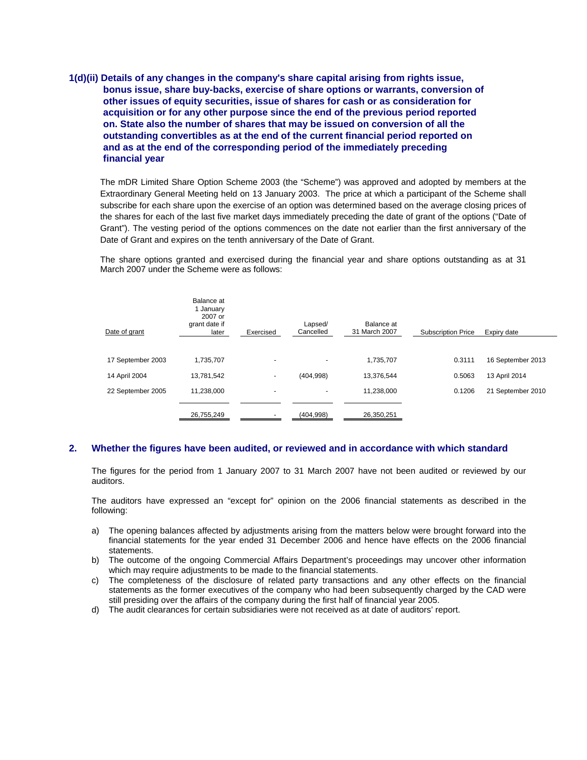**1(d)(ii) Details of any changes in the company's share capital arising from rights issue, bonus issue, share buy-backs, exercise of share options or warrants, conversion of other issues of equity securities, issue of shares for cash or as consideration for acquisition or for any other purpose since the end of the previous period reported on. State also the number of shares that may be issued on conversion of all the outstanding convertibles as at the end of the current financial period reported on and as at the end of the corresponding period of the immediately preceding financial year** 

The mDR Limited Share Option Scheme 2003 (the "Scheme") was approved and adopted by members at the Extraordinary General Meeting held on 13 January 2003. The price at which a participant of the Scheme shall subscribe for each share upon the exercise of an option was determined based on the average closing prices of the shares for each of the last five market days immediately preceding the date of grant of the options ("Date of Grant"). The vesting period of the options commences on the date not earlier than the first anniversary of the Date of Grant and expires on the tenth anniversary of the Date of Grant.

The share options granted and exercised during the financial year and share options outstanding as at 31 March 2007 under the Scheme were as follows:

| Date of grant     | Balance at<br>1 January<br>2007 or<br>grant date if<br>later | Exercised | Lapsed/<br>Cancelled     | Balance at<br>31 March 2007 | <b>Subscription Price</b> | Expiry date       |
|-------------------|--------------------------------------------------------------|-----------|--------------------------|-----------------------------|---------------------------|-------------------|
|                   |                                                              |           |                          |                             |                           |                   |
| 17 September 2003 | 1,735,707                                                    | ٠         | $\overline{\phantom{0}}$ | 1,735,707                   | 0.3111                    | 16 September 2013 |
| 14 April 2004     | 13,781,542                                                   | ۰         | (404, 998)               | 13.376.544                  | 0.5063                    | 13 April 2014     |
| 22 September 2005 | 11.238.000                                                   |           |                          | 11,238,000                  | 0.1206                    | 21 September 2010 |
|                   | 26,755,249                                                   |           | (404, 998)               | 26,350,251                  |                           |                   |

### **2. Whether the figures have been audited, or reviewed and in accordance with which standard**

The figures for the period from 1 January 2007 to 31 March 2007 have not been audited or reviewed by our auditors.

The auditors have expressed an "except for" opinion on the 2006 financial statements as described in the following:

- a) The opening balances affected by adjustments arising from the matters below were brought forward into the financial statements for the year ended 31 December 2006 and hence have effects on the 2006 financial statements.
- b) The outcome of the ongoing Commercial Affairs Department's proceedings may uncover other information which may require adjustments to be made to the financial statements.
- c) The completeness of the disclosure of related party transactions and any other effects on the financial statements as the former executives of the company who had been subsequently charged by the CAD were still presiding over the affairs of the company during the first half of financial year 2005.
- d) The audit clearances for certain subsidiaries were not received as at date of auditors' report.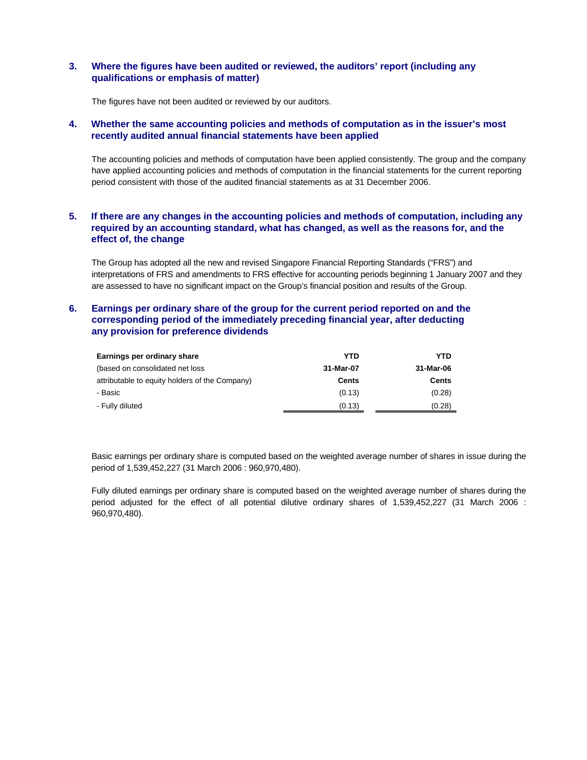### **3. Where the figures have been audited or reviewed, the auditors' report (including any qualifications or emphasis of matter)**

The figures have not been audited or reviewed by our auditors.

#### **4. Whether the same accounting policies and methods of computation as in the issuer's most recently audited annual financial statements have been applied**

The accounting policies and methods of computation have been applied consistently. The group and the company have applied accounting policies and methods of computation in the financial statements for the current reporting period consistent with those of the audited financial statements as at 31 December 2006.

## **5. If there are any changes in the accounting policies and methods of computation, including any required by an accounting standard, what has changed, as well as the reasons for, and the effect of, the change**

The Group has adopted all the new and revised Singapore Financial Reporting Standards ("FRS") and interpretations of FRS and amendments to FRS effective for accounting periods beginning 1 January 2007 and they are assessed to have no significant impact on the Group's financial position and results of the Group.

### **6. Earnings per ordinary share of the group for the current period reported on and the corresponding period of the immediately preceding financial year, after deducting any provision for preference dividends**

| Earnings per ordinary share                    | YTD       | YTD          |
|------------------------------------------------|-----------|--------------|
| (based on consolidated net loss)               | 31-Mar-07 | 31-Mar-06    |
| attributable to equity holders of the Company) | Cents     | <b>Cents</b> |
| - Basic                                        | (0.13)    | (0.28)       |
| - Fully diluted                                | (0.13)    | (0.28)       |

Basic earnings per ordinary share is computed based on the weighted average number of shares in issue during the period of 1,539,452,227 (31 March 2006 : 960,970,480).

Fully diluted earnings per ordinary share is computed based on the weighted average number of shares during the period adjusted for the effect of all potential dilutive ordinary shares of 1,539,452,227 (31 March 2006 : 960,970,480).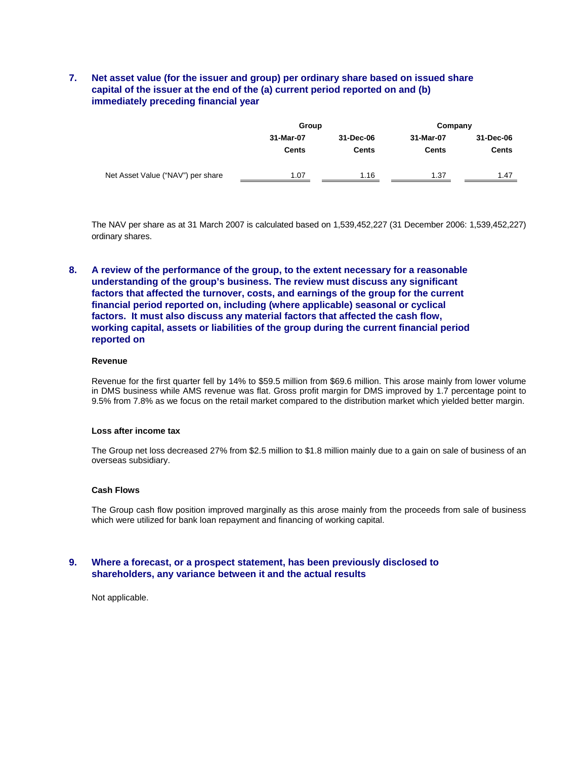## **7. Net asset value (for the issuer and group) per ordinary share based on issued share capital of the issuer at the end of the (a) current period reported on and (b) immediately preceding financial year**

|                                   | Group                     |                    | Company |                           |  |
|-----------------------------------|---------------------------|--------------------|---------|---------------------------|--|
|                                   | 31-Mar-07<br><b>Cents</b> | 31-Dec-06<br>Cents |         | 31-Dec-06<br><b>Cents</b> |  |
| Net Asset Value ("NAV") per share | 1.07                      | 1.16               | 1.37    | 1.47                      |  |

The NAV per share as at 31 March 2007 is calculated based on 1,539,452,227 (31 December 2006: 1,539,452,227) ordinary shares.

## **8. A review of the performance of the group, to the extent necessary for a reasonable understanding of the group's business. The review must discuss any significant factors that affected the turnover, costs, and earnings of the group for the current financial period reported on, including (where applicable) seasonal or cyclical factors. It must also discuss any material factors that affected the cash flow, working capital, assets or liabilities of the group during the current financial period reported on**

#### **Revenue**

Revenue for the first quarter fell by 14% to \$59.5 million from \$69.6 million. This arose mainly from lower volume in DMS business while AMS revenue was flat. Gross profit margin for DMS improved by 1.7 percentage point to 9.5% from 7.8% as we focus on the retail market compared to the distribution market which yielded better margin.

#### **Loss after income tax**

The Group net loss decreased 27% from \$2.5 million to \$1.8 million mainly due to a gain on sale of business of an overseas subsidiary.

#### **Cash Flows**

The Group cash flow position improved marginally as this arose mainly from the proceeds from sale of business which were utilized for bank loan repayment and financing of working capital.

### **9. Where a forecast, or a prospect statement, has been previously disclosed to shareholders, any variance between it and the actual results**

Not applicable.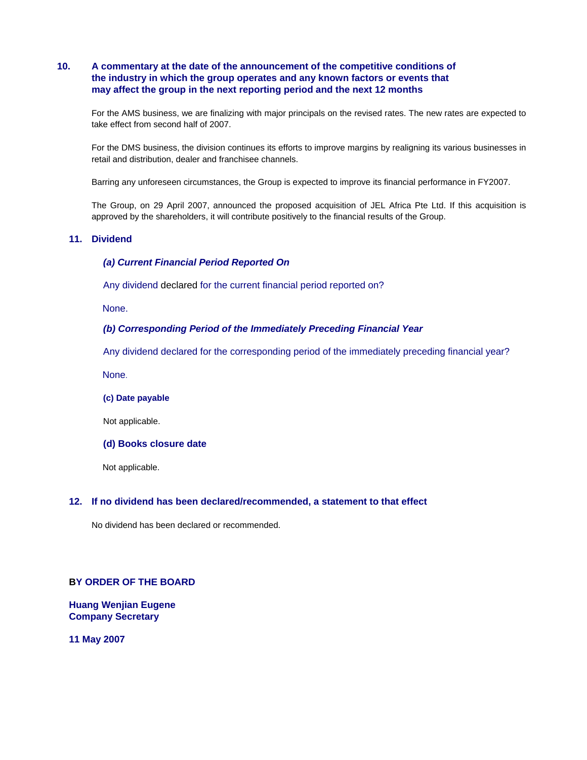## **10. A commentary at the date of the announcement of the competitive conditions of the industry in which the group operates and any known factors or events that may affect the group in the next reporting period and the next 12 months**

For the AMS business, we are finalizing with major principals on the revised rates. The new rates are expected to take effect from second half of 2007.

For the DMS business, the division continues its efforts to improve margins by realigning its various businesses in retail and distribution, dealer and franchisee channels.

Barring any unforeseen circumstances, the Group is expected to improve its financial performance in FY2007.

The Group, on 29 April 2007, announced the proposed acquisition of JEL Africa Pte Ltd. If this acquisition is approved by the shareholders, it will contribute positively to the financial results of the Group.

### **11. Dividend**

### *(a) Current Financial Period Reported On*

Any dividend declared for the current financial period reported on?

None.

### *(b) Corresponding Period of the Immediately Preceding Financial Year*

Any dividend declared for the corresponding period of the immediately preceding financial year?

None.

**(c) Date payable** 

Not applicable.

#### **(d) Books closure date**

Not applicable.

#### **12. If no dividend has been declared/recommended, a statement to that effect**

No dividend has been declared or recommended.

### **BY ORDER OF THE BOARD**

**Huang Wenjian Eugene Company Secretary** 

**11 May 2007**